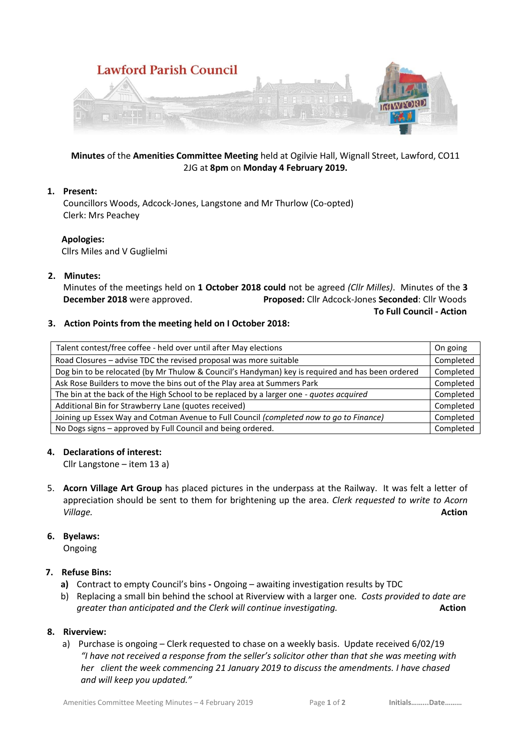

# **Minutes** of the **Amenities Committee Meeting** held at Ogilvie Hall, Wignall Street, Lawford, CO11 2JG at **8pm** on **Monday 4 February 2019.**

### **1. Present:**

Councillors Woods, Adcock-Jones, Langstone and Mr Thurlow (Co-opted) Clerk: Mrs Peachey

### **Apologies:**

Cllrs Miles and V Guglielmi

### **2. Minutes:**

Minutes of the meetings held on **1 October 2018 could** not be agreed *(Cllr Milles)*. Minutes of the **3 December 2018** were approved. **Proposed:** Cllr Adcock-Jones **Seconded**: Cllr Woods  **To Full Council - Action**

### **3. Action Points from the meeting held on I October 2018:**

| Talent contest/free coffee - held over until after May elections                                 | On going  |
|--------------------------------------------------------------------------------------------------|-----------|
| Road Closures - advise TDC the revised proposal was more suitable                                | Completed |
| Dog bin to be relocated (by Mr Thulow & Council's Handyman) key is required and has been ordered | Completed |
| Ask Rose Builders to move the bins out of the Play area at Summers Park                          | Completed |
| The bin at the back of the High School to be replaced by a larger one - quotes acquired          | Completed |
| Additional Bin for Strawberry Lane (quotes received)                                             | Completed |
| Joining up Essex Way and Cotman Avenue to Full Council (completed now to go to Finance)          | Completed |
| No Dogs signs - approved by Full Council and being ordered.                                      | Completed |

#### **4. Declarations of interest:**

Cllr Langstone – item 13 a)

5. **Acorn Village Art Group** has placed pictures in the underpass at the Railway. It was felt a letter of appreciation should be sent to them for brightening up the area*. Clerk requested to write to Acorn Village.* **Action**

# **6. Byelaws:**

Ongoing

# **7. Refuse Bins:**

- **a)** Contract to empty Council's bins **-** Ongoing awaiting investigation results by TDC
- b) Replacing a small bin behind the school at Riverview with a larger one*. Costs provided to date are greater than anticipated and the Clerk will continue investigating.* **Action Action**

# **8. Riverview:**

a) Purchase is ongoing – Clerk requested to chase on a weekly basis. Update received 6/02/19 *"I have not received a response from the seller's solicitor other than that she was meeting with her client the week commencing 21 January 2019 to discuss the amendments. I have chased and will keep you updated."*